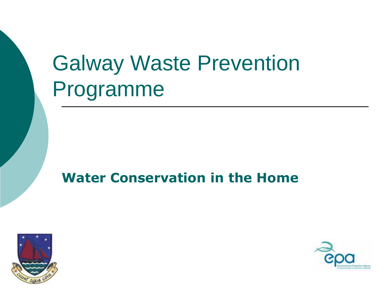# Galway Waste Prevention Programme

#### **Water Conservation in the Home**



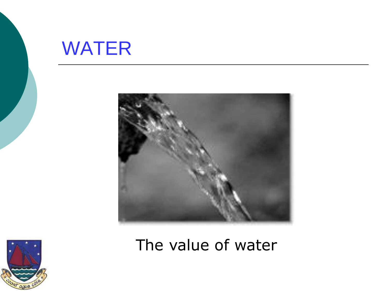



The value of water

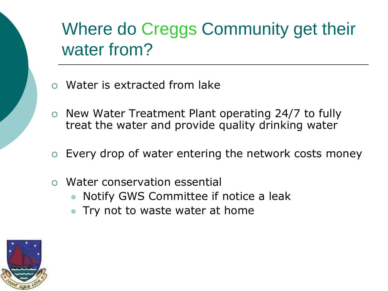### Where do Creggs Community get their water from?

- Water is extracted from lake
- $\circ$  New Water Treatment Plant operating 24/7 to fully treat the water and provide quality drinking water
- $\circ$  Every drop of water entering the network costs money
- Water conservation essential
	- Notify GWS Committee if notice a leak
	- Try not to waste water at home

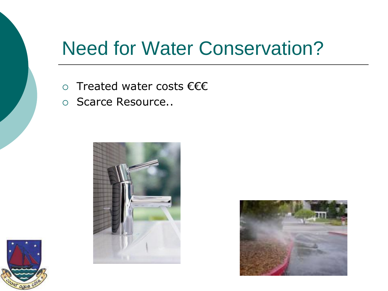### Need for Water Conservation?

- Treated water costs €€€
- o Scarce Resource..





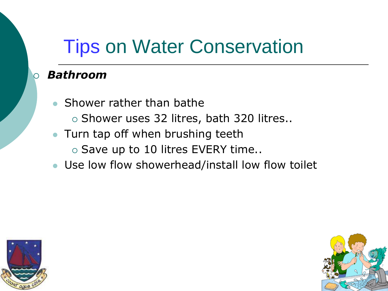# Tips on Water Conservation

#### *Bathroom*

- Shower rather than bathe
	- $\circ$  Shower uses 32 litres, bath 320 litres..
- Turn tap off when brushing teeth  $\circ$  Save up to 10 litres EVERY time..
- Use low flow showerhead/install low flow toilet



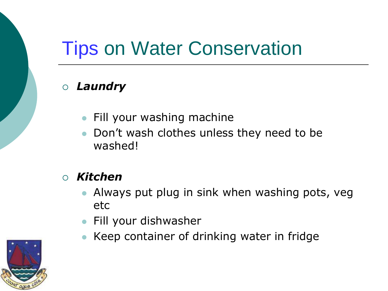# Tips on Water Conservation

#### *Laundry*

- **Fill your washing machine**
- Don't wash clothes unless they need to be washed!

#### *Kitchen*

- Always put plug in sink when washing pots, veg etc
- **•** Fill your dishwasher
- Keep container of drinking water in fridge

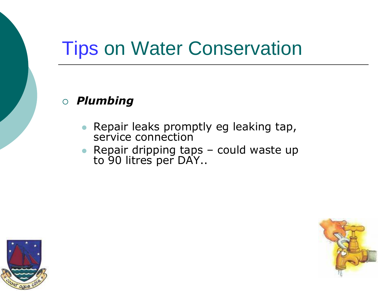### Tips on Water Conservation

#### *Plumbing*

- Repair leaks promptly eg leaking tap, service connection
- Repair dripping taps could waste up to 90 litres per DAY..



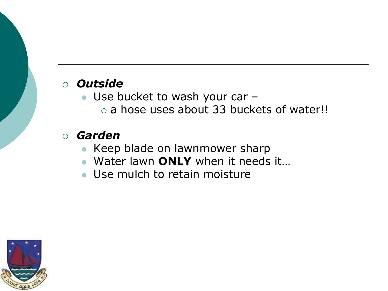#### *Outside*

- Use bucket to wash your car
	- o a hose uses about 33 buckets of water!!

#### *Garden*

- Keep blade on lawnmower sharp
- Water lawn **ONLY** when it needs it…
- Use mulch to retain moisture

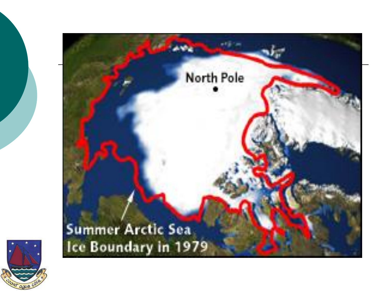

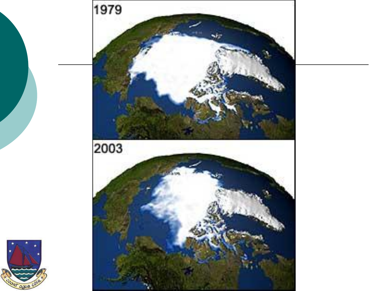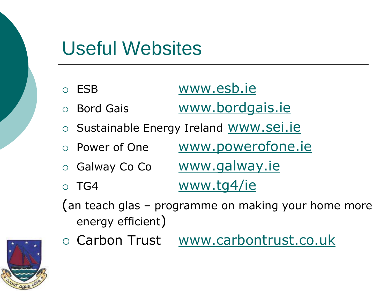### Useful Websites

|                                                                          | o ESB                                   | www.esb.ie                   |
|--------------------------------------------------------------------------|-----------------------------------------|------------------------------|
|                                                                          | ○ Bord Gais                             | www.bordgais.ie              |
|                                                                          | O Sustainable Energy Ireland WWW.Sei.ie |                              |
|                                                                          | o Power of One                          | www.powerofone.ie            |
|                                                                          |                                         | ○ Galway Co Co www.galway.ie |
|                                                                          | $\circ$ TG4                             | www.tg4/ie                   |
| (an teach glas - programme on making your home more<br>energy efficient) |                                         |                              |